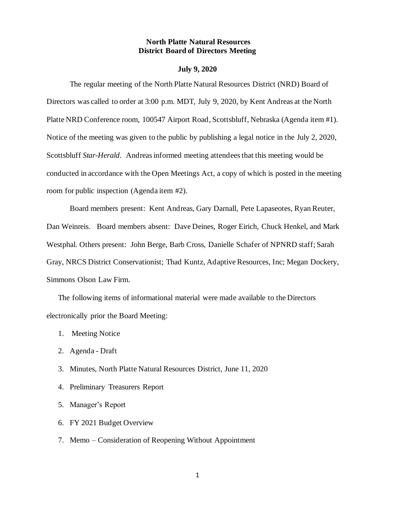#### **North Platte Natural Resources District Board of Directors Meeting**

#### **July 9, 2020**

The regular meeting of the North Platte Natural Resources District (NRD) Board of Directors was called to order at 3:00 p.m. MDT, July 9, 2020, by Kent Andreas at the North Platte NRD Conference room, 100547 Airport Road, Scottsbluff, Nebraska (Agenda item #1). Notice of the meeting was given to the public by publishing a legal notice in the July 2, 2020, Scottsbluff *Star-Herald*. Andreas informed meeting attendees that this meeting would be conducted in accordance with the Open Meetings Act, a copy of which is posted in the meeting room for public inspection (Agenda item #2).

Board members present: Kent Andreas, Gary Darnall, Pete Lapaseotes, Ryan Reuter, Dan Weinreis. Board members absent: Dave Deines, Roger Eirich, Chuck Henkel, and Mark Westphal. Others present: John Berge, Barb Cross, Danielle Schafer of NPNRD staff; Sarah Gray, NRCS District Conservationist; Thad Kuntz, Adaptive Resources, Inc; Megan Dockery, Simmons Olson Law Firm.

The following items of informational material were made available to the Directors electronically prior the Board Meeting:

- 1. Meeting Notice
- 2. Agenda Draft
- 3. Minutes, North Platte Natural Resources District, June 11, 2020
- 4. Preliminary Treasurers Report
- 5. Manager's Report
- 6. FY 2021 Budget Overview
- 7. Memo Consideration of Reopening Without Appointment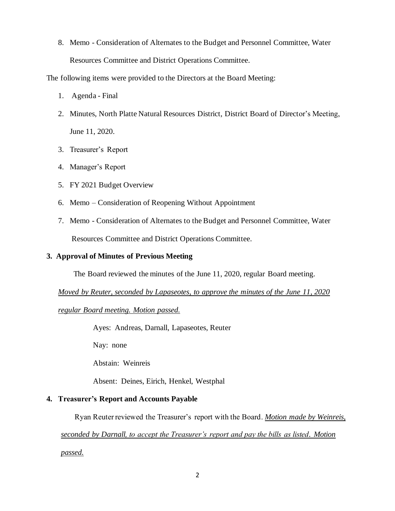8. Memo - Consideration of Alternates to the Budget and Personnel Committee, Water Resources Committee and District Operations Committee.

The following items were provided to the Directors at the Board Meeting:

- 1. Agenda Final
- 2. Minutes, North Platte Natural Resources District, District Board of Director's Meeting, June 11, 2020.
- 3. Treasurer's Report
- 4. Manager's Report
- 5. FY 2021 Budget Overview
- 6. Memo Consideration of Reopening Without Appointment
- 7. Memo Consideration of Alternates to the Budget and Personnel Committee, Water Resources Committee and District Operations Committee.

# **3. Approval of Minutes of Previous Meeting**

The Board reviewed the minutes of the June 11, 2020, regular Board meeting.

*Moved by Reuter, seconded by Lapaseotes, to approve the minutes of the June 11, 2020* 

*regular Board meeting. Motion passed.*

Ayes: Andreas, Darnall, Lapaseotes, Reuter

Nay: none

Abstain: Weinreis

Absent: Deines, Eirich, Henkel, Westphal

# **4. Treasurer's Report and Accounts Payable**

Ryan Reuter reviewed the Treasurer's report with the Board. *Motion made by Weinreis,* 

*seconded by Darnall, to accept the Treasurer's report and pay the bills as listed. Motion passed.*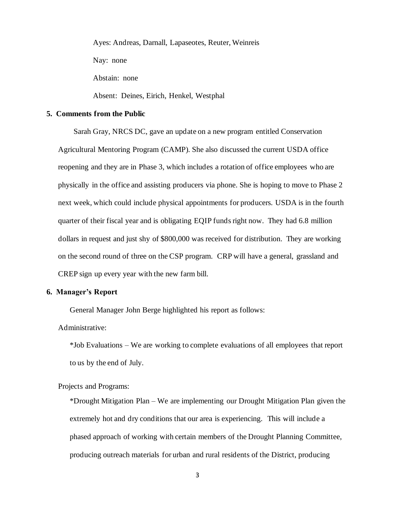Ayes: Andreas, Darnall, Lapaseotes, Reuter, Weinreis Nay: none Abstain: none

Absent: Deines, Eirich, Henkel, Westphal

# **5. Comments from the Public**

Sarah Gray, NRCS DC, gave an update on a new program entitled Conservation Agricultural Mentoring Program (CAMP). She also discussed the current USDA office reopening and they are in Phase 3, which includes a rotation of office employees who are physically in the office and assisting producers via phone. She is hoping to move to Phase 2 next week, which could include physical appointments for producers. USDA is in the fourth quarter of their fiscal year and is obligating EQIP funds right now. They had 6.8 million dollars in request and just shy of \$800,000 was received for distribution. They are working on the second round of three on the CSP program. CRP will have a general, grassland and CREP sign up every year with the new farm bill.

#### **6. Manager's Report**

General Manager John Berge highlighted his report as follows:

Administrative:

\*Job Evaluations – We are working to complete evaluations of all employees that report to us by the end of July.

Projects and Programs:

\*Drought Mitigation Plan – We are implementing our Drought Mitigation Plan given the extremely hot and dry conditions that our area is experiencing. This will include a phased approach of working with certain members of the Drought Planning Committee, producing outreach materials for urban and rural residents of the District, producing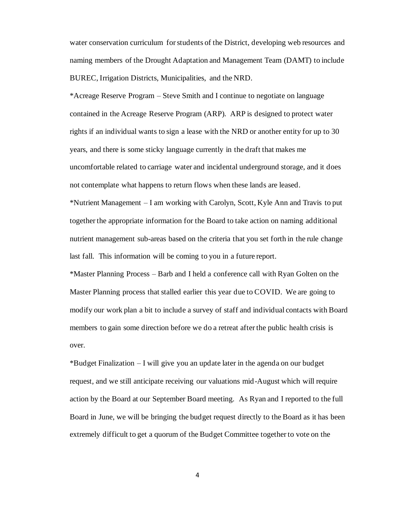water conservation curriculum for students of the District, developing web resources and naming members of the Drought Adaptation and Management Team (DAMT) to include BUREC, Irrigation Districts, Municipalities, and the NRD.

\*Acreage Reserve Program – Steve Smith and I continue to negotiate on language contained in the Acreage Reserve Program (ARP). ARP is designed to protect water rights if an individual wants to sign a lease with the NRD or another entity for up to 30 years, and there is some sticky language currently in the draft that makes me uncomfortable related to carriage water and incidental underground storage, and it does not contemplate what happens to return flows when these lands are leased.

\*Nutrient Management – I am working with Carolyn, Scott, Kyle Ann and Travis to put together the appropriate information for the Board to take action on naming additional nutrient management sub-areas based on the criteria that you set forth in the rule change last fall. This information will be coming to you in a future report.

\*Master Planning Process – Barb and I held a conference call with Ryan Golten on the Master Planning process that stalled earlier this year due to COVID. We are going to modify our work plan a bit to include a survey of staff and individual contacts with Board members to gain some direction before we do a retreat after the public health crisis is over.

\*Budget Finalization – I will give you an update later in the agenda on our budget request, and we still anticipate receiving our valuations mid-August which will require action by the Board at our September Board meeting. As Ryan and I reported to the full Board in June, we will be bringing the budget request directly to the Board as it has been extremely difficult to get a quorum of the Budget Committee together to vote on the

4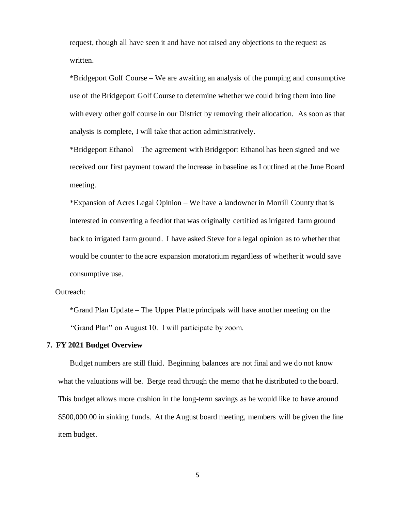request, though all have seen it and have not raised any objections to the request as written.

\*Bridgeport Golf Course – We are awaiting an analysis of the pumping and consumptive use of the Bridgeport Golf Course to determine whether we could bring them into line with every other golf course in our District by removing their allocation. As soon as that analysis is complete, I will take that action administratively.

\*Bridgeport Ethanol – The agreement with Bridgeport Ethanol has been signed and we received our first payment toward the increase in baseline as I outlined at the June Board meeting.

\*Expansion of Acres Legal Opinion – We have a landowner in Morrill County that is interested in converting a feedlot that was originally certified as irrigated farm ground back to irrigated farm ground. I have asked Steve for a legal opinion as to whether that would be counter to the acre expansion moratorium regardless of whether it would save consumptive use.

Outreach:

\*Grand Plan Update – The Upper Platte principals will have another meeting on the "Grand Plan" on August 10. I will participate by zoom.

#### **7. FY 2021 Budget Overview**

Budget numbers are still fluid. Beginning balances are not final and we do not know what the valuations will be. Berge read through the memo that he distributed to the board. This budget allows more cushion in the long-term savings as he would like to have around \$500,000.00 in sinking funds. At the August board meeting, members will be given the line item budget.

5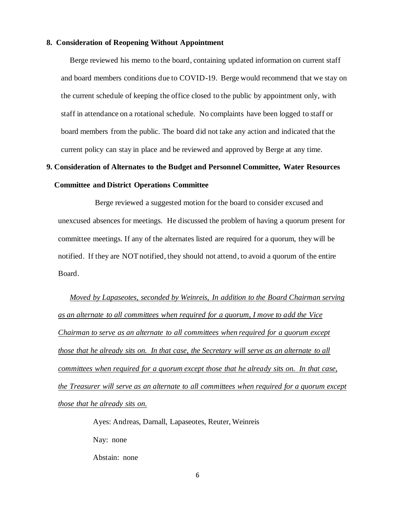# **8. Consideration of Reopening Without Appointment**

Berge reviewed his memo to the board, containing updated information on current staff and board members conditions due to COVID-19. Berge would recommend that we stay on the current schedule of keeping the office closed to the public by appointment only, with staff in attendance on a rotational schedule. No complaints have been logged to staff or board members from the public. The board did not take any action and indicated that the current policy can stay in place and be reviewed and approved by Berge at any time.

# **9. Consideration of Alternates to the Budget and Personnel Committee, Water Resources Committee and District Operations Committee**

Berge reviewed a suggested motion for the board to consider excused and unexcused absences for meetings. He discussed the problem of having a quorum present for committee meetings. If any of the alternates listed are required for a quorum, they will be notified. If they are NOT notified, they should not attend, to avoid a quorum of the entire Board.

*Moved by Lapaseotes, seconded by Weinreis, In addition to the Board Chairman serving as an alternate to all committees when required for a quorum, I move to add the Vice Chairman to serve as an alternate to all committees when required for a quorum except those that he already sits on. In that case, the Secretary will serve as an alternate to all committees when required for a quorum except those that he already sits on. In that case, the Treasurer will serve as an alternate to all committees when required for a quorum except those that he already sits on.* 

> Ayes: Andreas, Darnall, Lapaseotes, Reuter, Weinreis Nay: none Abstain: none